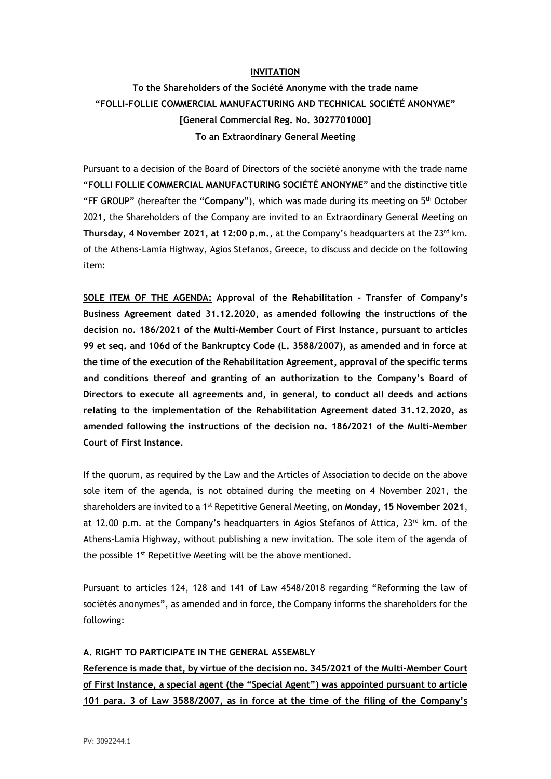#### **INVITATION**

# **To the Shareholders of the Société Anonyme with the trade name "FOLLI-FOLLIE COMMERCIAL MANUFACTURING AND TECHNICAL SOCIÉTÉ ANONYME" [General Commercial Reg. No. 3027701000] To an Extraordinary General Meeting**

Pursuant to a decision of the Board of Directors of the société anonyme with the trade name "**FOLLI FOLLIE COMMERCIAL MANUFACTURING SOCIÉTÉ ANONYME**" and the distinctive title "FF GROUP" (hereafter the "**Company**"), which was made during its meeting on 5 th October 2021, the Shareholders of the Company are invited to an Extraordinary General Meeting on **Thursday, 4 November 2021, at 12:00 p.m.**, at the Company's headquarters at the 23rd km. of the Athens-Lamia Highway, Agios Stefanos, Greece, to discuss and decide on the following item:

**SOLE ITEM OF THE AGENDA: Approval of the Rehabilitation - Transfer of Company's Business Agreement dated 31.12.2020, as amended following the instructions of the decision no. 186/2021 of the Multi-Member Court of First Instance, pursuant to articles 99 et seq. and 106d of the Bankruptcy Code (L. 3588/2007), as amended and in force at the time of the execution of the Rehabilitation Agreement, approval of the specific terms and conditions thereof and granting of an authorization to the Company's Board of Directors to execute all agreements and, in general, to conduct all deeds and actions relating to the implementation of the Rehabilitation Agreement dated 31.12.2020, as amended following the instructions of the decision no. 186/2021 of the Multi-Member Court of First Instance.**

If the quorum, as required by the Law and the Articles of Association to decide on the above sole item of the agenda, is not obtained during the meeting on 4 November 2021, the shareholders are invited to a 1st Repetitive General Meeting, on **Monday, 15 November 2021**, at 12.00 p.m. at the Company's headquarters in Agios Stefanos of Attica, 23rd km. of the Athens-Lamia Highway, without publishing a new invitation. The sole item of the agenda of the possible 1<sup>st</sup> Repetitive Meeting will be the above mentioned.

Pursuant to articles 124, 128 and 141 of Law 4548/2018 regarding "Reforming the law of sociétés anonymes", as amended and in force, the Company informs the shareholders for the following:

#### **A. RIGHT TO PARTICIPATE IN THE GENERAL ASSEMBLY**

**Reference is made that, by virtue of the decision no. 345/2021 of the Multi-Member Court of First Instance, a special agent (the "Special Agent") was appointed pursuant to article 101 para. 3 of Law 3588/2007, as in force at the time of the filing of the Company's**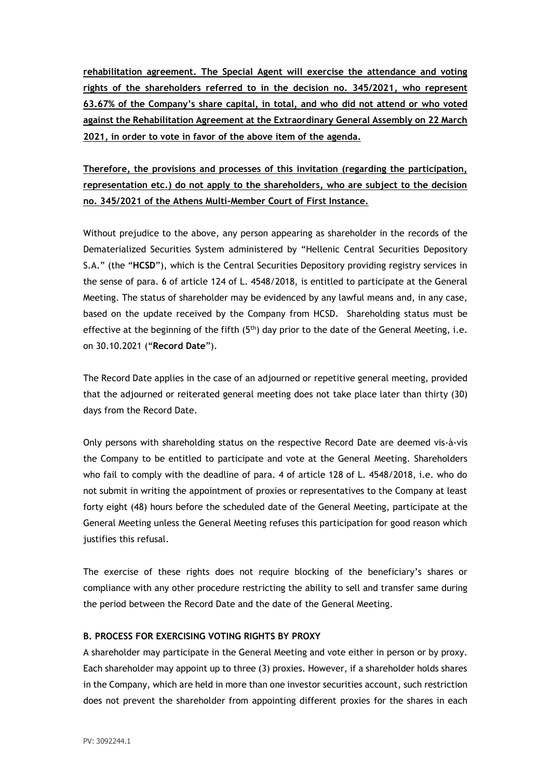**rehabilitation agreement. The Special Agent will exercise the attendance and voting rights of the shareholders referred to in the decision no. 345/2021, who represent 63.67% of the Company's share capital, in total, and who did not attend or who voted against the Rehabilitation Agreement at the Extraordinary General Assembly on 22 March 2021, in order to vote in favor of the above item of the agenda.**

**Therefore, the provisions and processes of this invitation (regarding the participation, representation etc.) do not apply to the shareholders, who are subject to the decision no. 345/2021 of the Athens Multi-Member Court of First Instance.**

Without prejudice to the above, any person appearing as shareholder in the records of the Dematerialized Securities System administered by "Hellenic Central Securities Depository S.A." (the "**HCSD**"), which is the Central Securities Depository providing registry services in the sense of para. 6 of article 124 of L. 4548/2018, is entitled to participate at the General Meeting. The status of shareholder may be evidenced by any lawful means and, in any case, based on the update received by the Company from HCSD. Shareholding status must be effective at the beginning of the fifth  $(5<sup>th</sup>)$  day prior to the date of the General Meeting, i.e. on 30.10.2021 ("**Record Date**").

The Record Date applies in the case of an adjourned or repetitive general meeting, provided that the adjourned or reiterated general meeting does not take place later than thirty (30) days from the Record Date.

Only persons with shareholding status on the respective Record Date are deemed vis-à-vis the Company to be entitled to participate and vote at the General Meeting. Shareholders who fail to comply with the deadline of para. 4 of article 128 of L. 4548/2018, i.e. who do not submit in writing the appointment of proxies or representatives to the Company at least forty eight (48) hours before the scheduled date of the General Meeting, participate at the General Meeting unless the General Meeting refuses this participation for good reason which justifies this refusal.

The exercise of these rights does not require blocking of the beneficiary's shares or compliance with any other procedure restricting the ability to sell and transfer same during the period between the Record Date and the date of the General Meeting.

## **B. PROCESS FOR EXERCISING VOTING RIGHTS BY PROXY**

A shareholder may participate in the General Meeting and vote either in person or by proxy. Each shareholder may appoint up to three (3) proxies. However, if a shareholder holds shares in the Company, which are held in more than one investor securities account, such restriction does not prevent the shareholder from appointing different proxies for the shares in each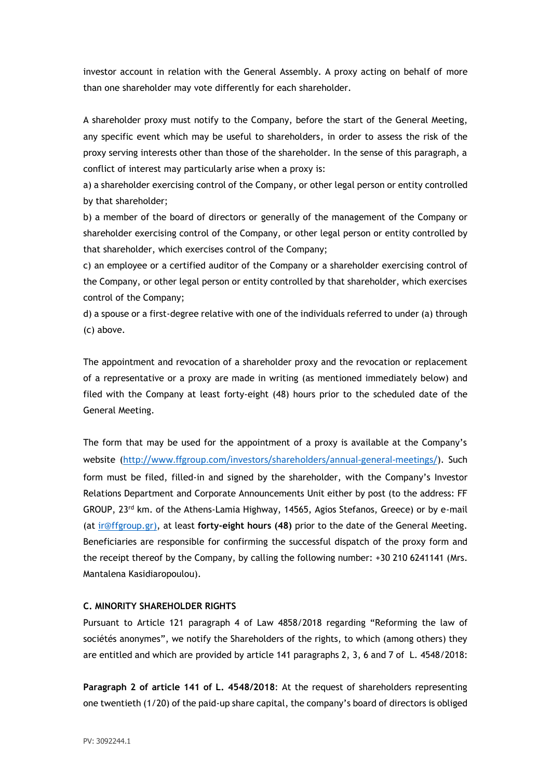investor account in relation with the General Assembly. A proxy acting on behalf of more than one shareholder may vote differently for each shareholder.

A shareholder proxy must notify to the Company, before the start of the General Meeting, any specific event which may be useful to shareholders, in order to assess the risk of the proxy serving interests other than those of the shareholder. In the sense of this paragraph, a conflict of interest may particularly arise when a proxy is:

a) a shareholder exercising control of the Company, or other legal person or entity controlled by that shareholder;

b) a member of the board of directors or generally of the management of the Company or shareholder exercising control of the Company, or other legal person or entity controlled by that shareholder, which exercises control of the Company;

c) an employee or a certified auditor of the Company or a shareholder exercising control of the Company, or other legal person or entity controlled by that shareholder, which exercises control of the Company;

d) a spouse or a first-degree relative with one of the individuals referred to under (a) through (c) above.

The appointment and revocation of a shareholder proxy and the revocation or replacement of a representative or a proxy are made in writing (as mentioned immediately below) and filed with the Company at least forty-eight (48) hours prior to the scheduled date of the General Meeting.

The form that may be used for the appointment of a proxy is available at the Company's website (<http://www.ffgroup.com/investors/shareholders/annual-general-meetings/>). Such form must be filed, filled-in and signed by the shareholder, with the Company's Investor Relations Department and Corporate Announcements Unit either by post (to the address: FF GROUP, 23rd km. of the Athens-Lamia Highway, 14565, Agios Stefanos, Greece) or by e-mail (at [ir@ffgroup.gr\)](mailto:ir@ffgroup.gr), at least **forty-eight hours (48)** prior to the date of the General Meeting. Beneficiaries are responsible for confirming the successful dispatch of the proxy form and the receipt thereof by the Company, by calling the following number: +30 210 6241141 (Mrs. Mantalena Kasidiaropoulou).

#### **C. MINORITY SHAREHOLDER RIGHTS**

Pursuant to Article 121 paragraph 4 of Law 4858/2018 regarding "Reforming the law of sociétés anonymes", we notify the Shareholders of the rights, to which (among others) they are entitled and which are provided by article 141 paragraphs 2, 3, 6 and 7 of L. 4548/2018:

**Paragraph 2 of article 141 of L. 4548/2018**: At the request of shareholders representing one twentieth (1/20) of the paid-up share capital, the company's board of directors is obliged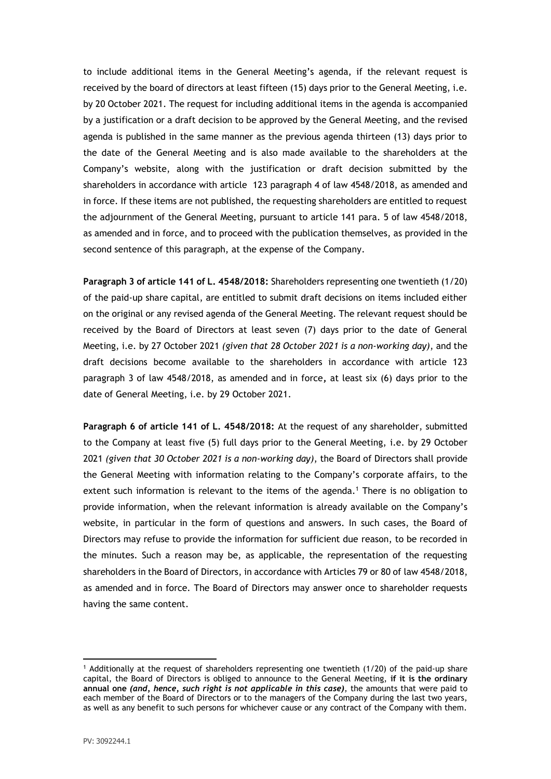to include additional items in the General Meeting's agenda, if the relevant request is received by the board of directors at least fifteen (15) days prior to the General Meeting, i.e. by 20 October 2021. The request for including additional items in the agenda is accompanied by a justification or a draft decision to be approved by the General Meeting, and the revised agenda is published in the same manner as the previous agenda thirteen (13) days prior to the date of the General Meeting and is also made available to the shareholders at the Company's website, along with the justification or draft decision submitted by the shareholders in accordance with article 123 paragraph 4 of law 4548/2018, as amended and in force. If these items are not published, the requesting shareholders are entitled to request the adjournment of the General Meeting, pursuant to article 141 para. 5 of law 4548/2018, as amended and in force, and to proceed with the publication themselves, as provided in the second sentence of this paragraph, at the expense of the Company.

**Paragraph 3 of article 141 of L. 4548/2018:** Shareholders representing one twentieth (1/20) of the paid-up share capital, are entitled to submit draft decisions on items included either on the original or any revised agenda of the General Meeting. The relevant request should be received by the Board of Directors at least seven (7) days prior to the date of General Meeting, i.e. by 27 October 2021 *(given that 28 October 2021 is a non-working day)*, and the draft decisions become available to the shareholders in accordance with article 123 paragraph 3 of law 4548/2018, as amended and in force**,** at least six (6) days prior to the date of General Meeting, i.e. by 29 October 2021.

**Paragraph 6 of article 141 of L. 4548/2018:** At the request of any shareholder, submitted to the Company at least five (5) full days prior to the General Meeting, i.e. by 29 October 2021 *(given that 30 October 2021 is a non-working day)*, the Board of Directors shall provide the General Meeting with information relating to the Company's corporate affairs, to the extent such information is relevant to the items of the agenda.<sup>1</sup> There is no obligation to provide information, when the relevant information is already available on the Company's website, in particular in the form of questions and answers. In such cases, the Board of Directors may refuse to provide the information for sufficient due reason, to be recorded in the minutes. Such a reason may be, as applicable, the representation of the requesting shareholders in the Board of Directors, in accordance with Articles 79 or 80 of law 4548/2018, as amended and in force. The Board of Directors may answer once to shareholder requests having the same content.

<sup>1</sup> Additionally at the request of shareholders representing one twentieth (1/20) of the paid-up share capital, the Board of Directors is obliged to announce to the General Meeting, **if it is the ordinary annual one** *(and, hence, such right is not applicable in this case)*, the amounts that were paid to each member of the Board of Directors or to the managers of the Company during the last two years, as well as any benefit to such persons for whichever cause or any contract of the Company with them.